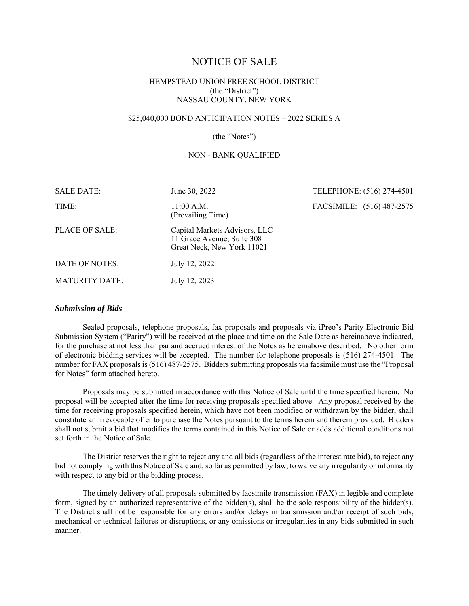# NOTICE OF SALE

# HEMPSTEAD UNION FREE SCHOOL DISTRICT (the "District") NASSAU COUNTY, NEW YORK

# \$25,040,000 BOND ANTICIPATION NOTES – 2022 SERIES A

#### (the "Notes")

### NON - BANK QUALIFIED

| <b>SALE DATE:</b>     | June 30, 2022                                                                             | TELEPHONE: (516) 274-4501 |  |
|-----------------------|-------------------------------------------------------------------------------------------|---------------------------|--|
| TIME:                 | $11:00$ A.M.<br>(Prevailing Time)                                                         | FACSIMILE: (516) 487-2575 |  |
| PLACE OF SALE:        | Capital Markets Advisors, LLC<br>11 Grace Avenue, Suite 308<br>Great Neck, New York 11021 |                           |  |
| DATE OF NOTES:        | July 12, 2022                                                                             |                           |  |
| <b>MATURITY DATE:</b> | July 12, 2023                                                                             |                           |  |

#### *Submission of Bids*

Sealed proposals, telephone proposals, fax proposals and proposals via iPreo's Parity Electronic Bid Submission System ("Parity") will be received at the place and time on the Sale Date as hereinabove indicated, for the purchase at not less than par and accrued interest of the Notes as hereinabove described. No other form of electronic bidding services will be accepted. The number for telephone proposals is (516) 274-4501. The number for FAX proposals is (516) 487-2575. Bidders submitting proposals via facsimile must use the "Proposal for Notes" form attached hereto.

Proposals may be submitted in accordance with this Notice of Sale until the time specified herein. No proposal will be accepted after the time for receiving proposals specified above. Any proposal received by the time for receiving proposals specified herein, which have not been modified or withdrawn by the bidder, shall constitute an irrevocable offer to purchase the Notes pursuant to the terms herein and therein provided. Bidders shall not submit a bid that modifies the terms contained in this Notice of Sale or adds additional conditions not set forth in the Notice of Sale.

The District reserves the right to reject any and all bids (regardless of the interest rate bid), to reject any bid not complying with this Notice of Sale and, so far as permitted by law, to waive any irregularity or informality with respect to any bid or the bidding process.

The timely delivery of all proposals submitted by facsimile transmission (FAX) in legible and complete form, signed by an authorized representative of the bidder(s), shall be the sole responsibility of the bidder(s). The District shall not be responsible for any errors and/or delays in transmission and/or receipt of such bids, mechanical or technical failures or disruptions, or any omissions or irregularities in any bids submitted in such manner.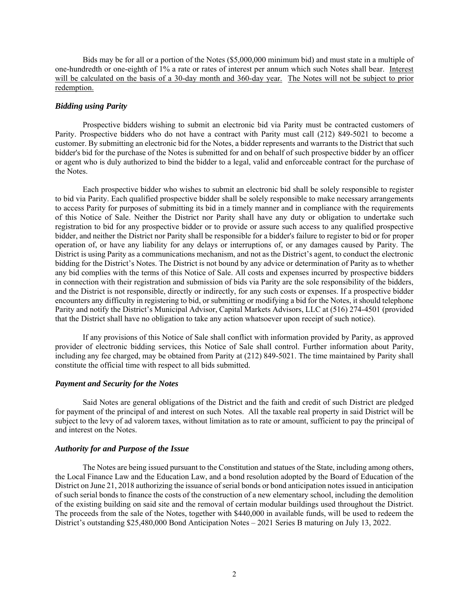Bids may be for all or a portion of the Notes (\$5,000,000 minimum bid) and must state in a multiple of one-hundredth or one-eighth of 1% a rate or rates of interest per annum which such Notes shall bear. Interest will be calculated on the basis of a 30-day month and 360-day year. The Notes will not be subject to prior redemption.

## *Bidding using Parity*

Prospective bidders wishing to submit an electronic bid via Parity must be contracted customers of Parity. Prospective bidders who do not have a contract with Parity must call (212) 849-5021 to become a customer. By submitting an electronic bid for the Notes, a bidder represents and warrants to the District that such bidder's bid for the purchase of the Notes is submitted for and on behalf of such prospective bidder by an officer or agent who is duly authorized to bind the bidder to a legal, valid and enforceable contract for the purchase of the Notes.

Each prospective bidder who wishes to submit an electronic bid shall be solely responsible to register to bid via Parity. Each qualified prospective bidder shall be solely responsible to make necessary arrangements to access Parity for purposes of submitting its bid in a timely manner and in compliance with the requirements of this Notice of Sale. Neither the District nor Parity shall have any duty or obligation to undertake such registration to bid for any prospective bidder or to provide or assure such access to any qualified prospective bidder, and neither the District nor Parity shall be responsible for a bidder's failure to register to bid or for proper operation of, or have any liability for any delays or interruptions of, or any damages caused by Parity. The District is using Parity as a communications mechanism, and not as the District's agent, to conduct the electronic bidding for the District's Notes. The District is not bound by any advice or determination of Parity as to whether any bid complies with the terms of this Notice of Sale. All costs and expenses incurred by prospective bidders in connection with their registration and submission of bids via Parity are the sole responsibility of the bidders, and the District is not responsible, directly or indirectly, for any such costs or expenses. If a prospective bidder encounters any difficulty in registering to bid, or submitting or modifying a bid for the Notes, it should telephone Parity and notify the District's Municipal Advisor, Capital Markets Advisors, LLC at (516) 274-4501 (provided that the District shall have no obligation to take any action whatsoever upon receipt of such notice).

If any provisions of this Notice of Sale shall conflict with information provided by Parity, as approved provider of electronic bidding services, this Notice of Sale shall control. Further information about Parity, including any fee charged, may be obtained from Parity at (212) 849-5021. The time maintained by Parity shall constitute the official time with respect to all bids submitted.

#### *Payment and Security for the Notes*

Said Notes are general obligations of the District and the faith and credit of such District are pledged for payment of the principal of and interest on such Notes. All the taxable real property in said District will be subject to the levy of ad valorem taxes, without limitation as to rate or amount, sufficient to pay the principal of and interest on the Notes.

## *Authority for and Purpose of the Issue*

The Notes are being issued pursuant to the Constitution and statues of the State, including among others, the Local Finance Law and the Education Law, and a bond resolution adopted by the Board of Education of the District on June 21, 2018 authorizing the issuance of serial bonds or bond anticipation notes issued in anticipation of such serial bonds to finance the costs of the construction of a new elementary school, including the demolition of the existing building on said site and the removal of certain modular buildings used throughout the District. The proceeds from the sale of the Notes, together with \$440,000 in available funds, will be used to redeem the District's outstanding \$25,480,000 Bond Anticipation Notes – 2021 Series B maturing on July 13, 2022.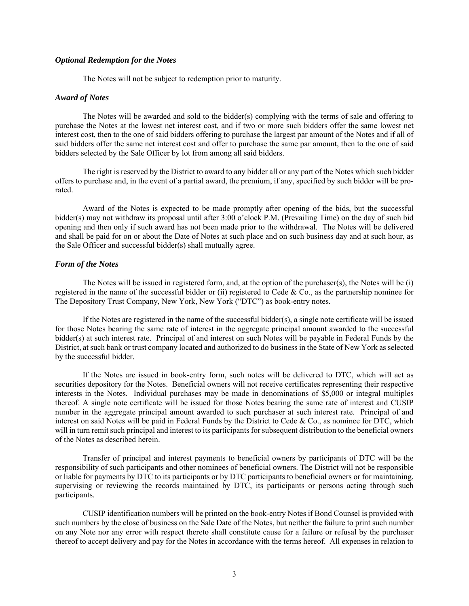# *Optional Redemption for the Notes*

The Notes will not be subject to redemption prior to maturity.

#### *Award of Notes*

The Notes will be awarded and sold to the bidder(s) complying with the terms of sale and offering to purchase the Notes at the lowest net interest cost, and if two or more such bidders offer the same lowest net interest cost, then to the one of said bidders offering to purchase the largest par amount of the Notes and if all of said bidders offer the same net interest cost and offer to purchase the same par amount, then to the one of said bidders selected by the Sale Officer by lot from among all said bidders.

The right is reserved by the District to award to any bidder all or any part of the Notes which such bidder offers to purchase and, in the event of a partial award, the premium, if any, specified by such bidder will be prorated.

Award of the Notes is expected to be made promptly after opening of the bids, but the successful bidder(s) may not withdraw its proposal until after 3:00 o'clock P.M. (Prevailing Time) on the day of such bid opening and then only if such award has not been made prior to the withdrawal. The Notes will be delivered and shall be paid for on or about the Date of Notes at such place and on such business day and at such hour, as the Sale Officer and successful bidder(s) shall mutually agree.

### *Form of the Notes*

The Notes will be issued in registered form, and, at the option of the purchaser(s), the Notes will be (i) registered in the name of the successful bidder or (ii) registered to Cede & Co., as the partnership nominee for The Depository Trust Company, New York, New York ("DTC") as book-entry notes.

If the Notes are registered in the name of the successful bidder(s), a single note certificate will be issued for those Notes bearing the same rate of interest in the aggregate principal amount awarded to the successful bidder(s) at such interest rate. Principal of and interest on such Notes will be payable in Federal Funds by the District, at such bank or trust company located and authorized to do business in the State of New York as selected by the successful bidder.

If the Notes are issued in book-entry form, such notes will be delivered to DTC, which will act as securities depository for the Notes. Beneficial owners will not receive certificates representing their respective interests in the Notes. Individual purchases may be made in denominations of \$5,000 or integral multiples thereof. A single note certificate will be issued for those Notes bearing the same rate of interest and CUSIP number in the aggregate principal amount awarded to such purchaser at such interest rate. Principal of and interest on said Notes will be paid in Federal Funds by the District to Cede & Co., as nominee for DTC, which will in turn remit such principal and interest to its participants for subsequent distribution to the beneficial owners of the Notes as described herein.

Transfer of principal and interest payments to beneficial owners by participants of DTC will be the responsibility of such participants and other nominees of beneficial owners. The District will not be responsible or liable for payments by DTC to its participants or by DTC participants to beneficial owners or for maintaining, supervising or reviewing the records maintained by DTC, its participants or persons acting through such participants.

CUSIP identification numbers will be printed on the book-entry Notes if Bond Counsel is provided with such numbers by the close of business on the Sale Date of the Notes, but neither the failure to print such number on any Note nor any error with respect thereto shall constitute cause for a failure or refusal by the purchaser thereof to accept delivery and pay for the Notes in accordance with the terms hereof. All expenses in relation to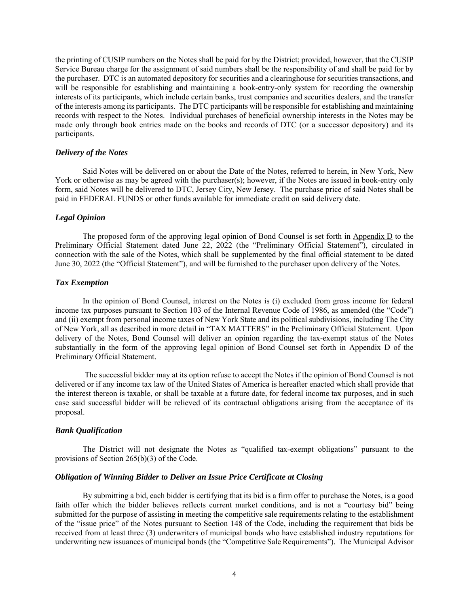the printing of CUSIP numbers on the Notes shall be paid for by the District; provided, however, that the CUSIP Service Bureau charge for the assignment of said numbers shall be the responsibility of and shall be paid for by the purchaser. DTC is an automated depository for securities and a clearinghouse for securities transactions, and will be responsible for establishing and maintaining a book-entry-only system for recording the ownership interests of its participants, which include certain banks, trust companies and securities dealers, and the transfer of the interests among its participants. The DTC participants will be responsible for establishing and maintaining records with respect to the Notes. Individual purchases of beneficial ownership interests in the Notes may be made only through book entries made on the books and records of DTC (or a successor depository) and its participants.

### *Delivery of the Notes*

Said Notes will be delivered on or about the Date of the Notes, referred to herein, in New York, New York or otherwise as may be agreed with the purchaser(s); however, if the Notes are issued in book-entry only form, said Notes will be delivered to DTC, Jersey City, New Jersey. The purchase price of said Notes shall be paid in FEDERAL FUNDS or other funds available for immediate credit on said delivery date.

#### *Legal Opinion*

The proposed form of the approving legal opinion of Bond Counsel is set forth in Appendix D to the Preliminary Official Statement dated June 22, 2022 (the "Preliminary Official Statement"), circulated in connection with the sale of the Notes, which shall be supplemented by the final official statement to be dated June 30, 2022 (the "Official Statement"), and will be furnished to the purchaser upon delivery of the Notes.

#### *Tax Exemption*

In the opinion of Bond Counsel, interest on the Notes is (i) excluded from gross income for federal income tax purposes pursuant to Section 103 of the Internal Revenue Code of 1986, as amended (the "Code") and (ii) exempt from personal income taxes of New York State and its political subdivisions, including The City of New York, all as described in more detail in "TAX MATTERS" in the Preliminary Official Statement. Upon delivery of the Notes, Bond Counsel will deliver an opinion regarding the tax-exempt status of the Notes substantially in the form of the approving legal opinion of Bond Counsel set forth in Appendix D of the Preliminary Official Statement.

 The successful bidder may at its option refuse to accept the Notes if the opinion of Bond Counsel is not delivered or if any income tax law of the United States of America is hereafter enacted which shall provide that the interest thereon is taxable, or shall be taxable at a future date, for federal income tax purposes, and in such case said successful bidder will be relieved of its contractual obligations arising from the acceptance of its proposal.

# *Bank Qualification*

The District will not designate the Notes as "qualified tax-exempt obligations" pursuant to the provisions of Section 265(b)(3) of the Code.

#### *Obligation of Winning Bidder to Deliver an Issue Price Certificate at Closing*

By submitting a bid, each bidder is certifying that its bid is a firm offer to purchase the Notes, is a good faith offer which the bidder believes reflects current market conditions, and is not a "courtesy bid" being submitted for the purpose of assisting in meeting the competitive sale requirements relating to the establishment of the "issue price" of the Notes pursuant to Section 148 of the Code, including the requirement that bids be received from at least three (3) underwriters of municipal bonds who have established industry reputations for underwriting new issuances of municipal bonds (the "Competitive Sale Requirements"). The Municipal Advisor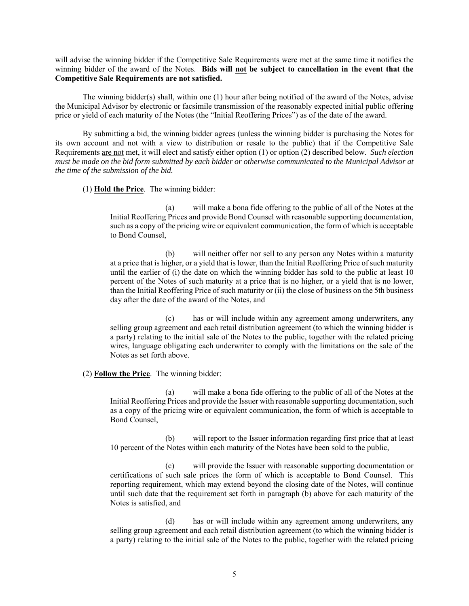will advise the winning bidder if the Competitive Sale Requirements were met at the same time it notifies the winning bidder of the award of the Notes. **Bids will not be subject to cancellation in the event that the Competitive Sale Requirements are not satisfied.**

The winning bidder(s) shall, within one (1) hour after being notified of the award of the Notes, advise the Municipal Advisor by electronic or facsimile transmission of the reasonably expected initial public offering price or yield of each maturity of the Notes (the "Initial Reoffering Prices") as of the date of the award.

By submitting a bid, the winning bidder agrees (unless the winning bidder is purchasing the Notes for its own account and not with a view to distribution or resale to the public) that if the Competitive Sale Requirements are not met, it will elect and satisfy either option (1) or option (2) described below. *Such election*  must be made on the bid form submitted by each bidder or otherwise communicated to the Municipal Advisor at *the time of the submission of the bid.*

# (1) **Hold the Price**. The winning bidder:

(a) will make a bona fide offering to the public of all of the Notes at the Initial Reoffering Prices and provide Bond Counsel with reasonable supporting documentation, such as a copy of the pricing wire or equivalent communication, the form of which is acceptable to Bond Counsel,

(b) will neither offer nor sell to any person any Notes within a maturity at a price that is higher, or a yield that is lower, than the Initial Reoffering Price of such maturity until the earlier of (i) the date on which the winning bidder has sold to the public at least 10 percent of the Notes of such maturity at a price that is no higher, or a yield that is no lower, than the Initial Reoffering Price of such maturity or (ii) the close of business on the 5th business day after the date of the award of the Notes, and

(c) has or will include within any agreement among underwriters, any selling group agreement and each retail distribution agreement (to which the winning bidder is a party) relating to the initial sale of the Notes to the public, together with the related pricing wires, language obligating each underwriter to comply with the limitations on the sale of the Notes as set forth above.

#### (2) **Follow the Price**. The winning bidder:

(a) will make a bona fide offering to the public of all of the Notes at the Initial Reoffering Prices and provide the Issuer with reasonable supporting documentation, such as a copy of the pricing wire or equivalent communication, the form of which is acceptable to Bond Counsel,

(b) will report to the Issuer information regarding first price that at least 10 percent of the Notes within each maturity of the Notes have been sold to the public,

(c) will provide the Issuer with reasonable supporting documentation or certifications of such sale prices the form of which is acceptable to Bond Counsel. This reporting requirement, which may extend beyond the closing date of the Notes, will continue until such date that the requirement set forth in paragraph (b) above for each maturity of the Notes is satisfied, and

(d) has or will include within any agreement among underwriters, any selling group agreement and each retail distribution agreement (to which the winning bidder is a party) relating to the initial sale of the Notes to the public, together with the related pricing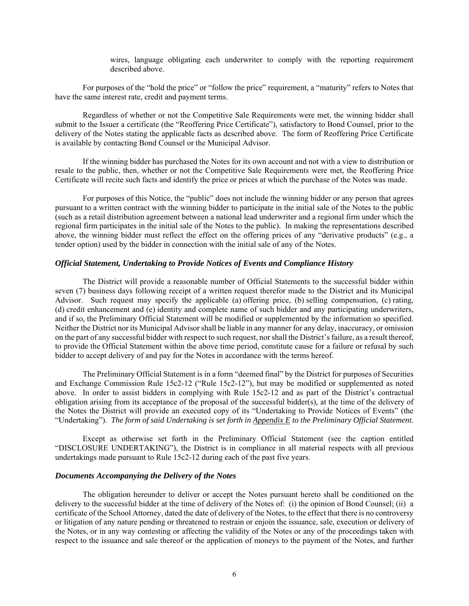wires, language obligating each underwriter to comply with the reporting requirement described above.

For purposes of the "hold the price" or "follow the price" requirement, a "maturity" refers to Notes that have the same interest rate, credit and payment terms.

Regardless of whether or not the Competitive Sale Requirements were met, the winning bidder shall submit to the Issuer a certificate (the "Reoffering Price Certificate"), satisfactory to Bond Counsel, prior to the delivery of the Notes stating the applicable facts as described above. The form of Reoffering Price Certificate is available by contacting Bond Counsel or the Municipal Advisor.

If the winning bidder has purchased the Notes for its own account and not with a view to distribution or resale to the public, then, whether or not the Competitive Sale Requirements were met, the Reoffering Price Certificate will recite such facts and identify the price or prices at which the purchase of the Notes was made.

For purposes of this Notice, the "public" does not include the winning bidder or any person that agrees pursuant to a written contract with the winning bidder to participate in the initial sale of the Notes to the public (such as a retail distribution agreement between a national lead underwriter and a regional firm under which the regional firm participates in the initial sale of the Notes to the public). In making the representations described above, the winning bidder must reflect the effect on the offering prices of any "derivative products" (e.g., a tender option) used by the bidder in connection with the initial sale of any of the Notes.

# *Official Statement, Undertaking to Provide Notices of Events and Compliance History*

The District will provide a reasonable number of Official Statements to the successful bidder within seven (7) business days following receipt of a written request therefor made to the District and its Municipal Advisor. Such request may specify the applicable (a) offering price, (b) selling compensation, (c) rating, (d) credit enhancement and (e) identity and complete name of such bidder and any participating underwriters, and if so, the Preliminary Official Statement will be modified or supplemented by the information so specified. Neither the District nor its Municipal Advisor shall be liable in any manner for any delay, inaccuracy, or omission on the part of any successful bidder with respect to such request, nor shall the District's failure, as a result thereof, to provide the Official Statement within the above time period, constitute cause for a failure or refusal by such bidder to accept delivery of and pay for the Notes in accordance with the terms hereof.

The Preliminary Official Statement is in a form "deemed final" by the District for purposes of Securities and Exchange Commission Rule 15c2-12 ("Rule 15c2-12"), but may be modified or supplemented as noted above. In order to assist bidders in complying with Rule 15c2-12 and as part of the District's contractual obligation arising from its acceptance of the proposal of the successful bidder(s), at the time of the delivery of the Notes the District will provide an executed copy of its "Undertaking to Provide Notices of Events" (the "Undertaking"). *The form of said Undertaking is set forth in Appendix E to the Preliminary Official Statement.*

Except as otherwise set forth in the Preliminary Official Statement (see the caption entitled "DISCLOSURE UNDERTAKING"), the District is in compliance in all material respects with all previous undertakings made pursuant to Rule 15c2-12 during each of the past five years.

#### *Documents Accompanying the Delivery of the Notes*

The obligation hereunder to deliver or accept the Notes pursuant hereto shall be conditioned on the delivery to the successful bidder at the time of delivery of the Notes of: (i) the opinion of Bond Counsel; (ii) a certificate of the School Attorney, dated the date of delivery of the Notes, to the effect that there is no controversy or litigation of any nature pending or threatened to restrain or enjoin the issuance, sale, execution or delivery of the Notes, or in any way contesting or affecting the validity of the Notes or any of the proceedings taken with respect to the issuance and sale thereof or the application of moneys to the payment of the Notes, and further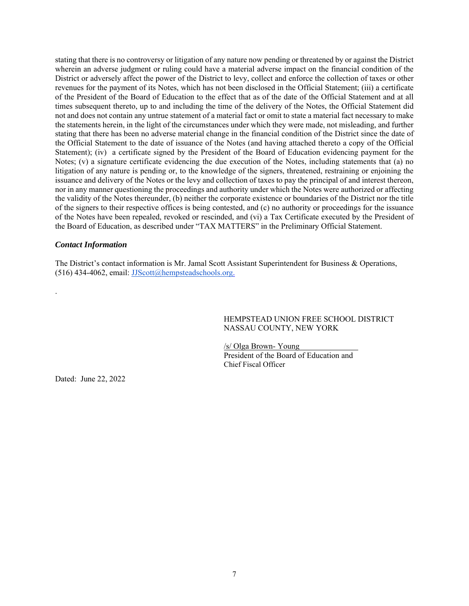stating that there is no controversy or litigation of any nature now pending or threatened by or against the District wherein an adverse judgment or ruling could have a material adverse impact on the financial condition of the District or adversely affect the power of the District to levy, collect and enforce the collection of taxes or other revenues for the payment of its Notes, which has not been disclosed in the Official Statement; (iii) a certificate of the President of the Board of Education to the effect that as of the date of the Official Statement and at all times subsequent thereto, up to and including the time of the delivery of the Notes, the Official Statement did not and does not contain any untrue statement of a material fact or omit to state a material fact necessary to make the statements herein, in the light of the circumstances under which they were made, not misleading, and further stating that there has been no adverse material change in the financial condition of the District since the date of the Official Statement to the date of issuance of the Notes (and having attached thereto a copy of the Official Statement); (iv) a certificate signed by the President of the Board of Education evidencing payment for the Notes; (v) a signature certificate evidencing the due execution of the Notes, including statements that (a) no litigation of any nature is pending or, to the knowledge of the signers, threatened, restraining or enjoining the issuance and delivery of the Notes or the levy and collection of taxes to pay the principal of and interest thereon, nor in any manner questioning the proceedings and authority under which the Notes were authorized or affecting the validity of the Notes thereunder, (b) neither the corporate existence or boundaries of the District nor the title of the signers to their respective offices is being contested, and (c) no authority or proceedings for the issuance of the Notes have been repealed, revoked or rescinded, and (vi) a Tax Certificate executed by the President of the Board of Education, as described under "TAX MATTERS" in the Preliminary Official Statement.

## *Contact Information*

.

The District's contact information is Mr. Jamal Scott Assistant Superintendent for Business & Operations, (516) 434-4062, email: JJScott@hempsteadschools.org.

> HEMPSTEAD UNION FREE SCHOOL DISTRICT NASSAU COUNTY, NEW YORK

/s/ Olga Brown- Young President of the Board of Education and Chief Fiscal Officer

Dated: June 22, 2022